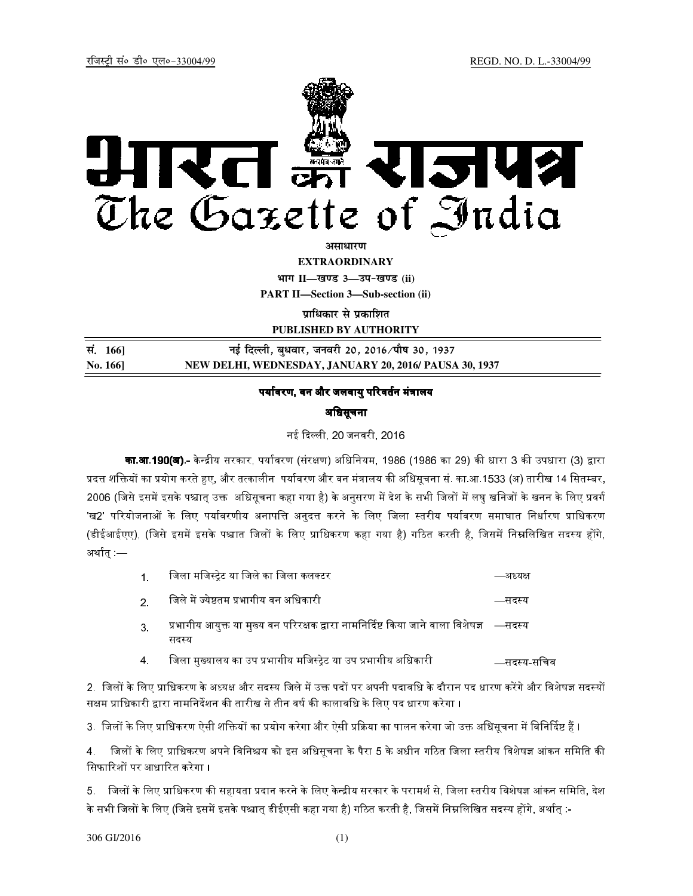

<u>असाधारण</u>

**EXTRAORDINARY**

**Hkkx II—[k.M 3—mi&[k.M (ii) PART II—Section 3—Sub-section (ii)** 

**पाधिकार से प्रकाशित** 

**PUBLISHED BY AUTHORITY**

| सं. 166]       | नई दिल्ली, बुधवार, जनवरी 20, 2016 ∕पौष 30, 1937        |
|----------------|--------------------------------------------------------|
| <b>No. 166</b> | NEW DELHI, WEDNESDAY, JANUARY 20, 2016/ PAUSA 30, 1937 |

## पर्यावरण, वन और जलवायु परिवर्तन मंत्रालय

## अधिसूचना

नई दली, 20 जनवरी, 2016

**का.आ.190(अ).-** केन्द्रीय सरकार, पर्यावरण (संरक्षण) अधिनियम, 1986 (1986 का 29) की धारा 3 की उपधारा (3) द्वारा प्रदत्त शक्तियों का प्रयोग करते हुए, और तत्कालीन पर्यावरण और वन मंत्रालय की अधिसूचना सं. का.आ.1533 (अ) तारीख 14 सितम्बर, 2006 (जिसे इसमें इसके पश्चात् उक्त अधिसूचना कहा गया है) के अनुसरण में देश के सभी जिलों में लघु खनिजों के खनन के लिए प्रवर्ग 'ख2' परियोजनाओं के लिए पर्यावरणीय अनापत्ति अनुदत्त करने के लिए जिला स्तरीय पर्यावरण समाघात निर्धारण प्राधिकरण (डीईआईएए), (जिसे इसमें इसके पश्चात जिलों के लिए प्राधिकरण कहा गया है) गठित करती है, जिसमें निम्नलिखित सदस्य होंगे, अर्थात् :—

| जिला मजिस्ट्रेट या जिले का जिला कलक्टर | —अध्यक्ष |
|----------------------------------------|----------|
|----------------------------------------|----------|

- 2. िजले म, EयेFतम भागीय वन अिधकारी —सद8य
- 3. प्रभागीय आयुक्त या मुख्य वन परिरक्षक द्वारा नामनिर्दिष्ट किया जाने वाला विशेषज्ञ —सदस्य सदस्य
- 4. िजला मुHयालय का उप भागीय मिज8Aेट या उप भागीय अिधकारी —सद8य-सिचव

2. जिलों के लिए प्राधिकरण के अध्यक्ष और सदस्य जिले में उक्त पदों पर अपनी पदावधि के दौरान पद धारण करेंगे और विशेषज्ञ सदस्यों सक्षम प्राधिकारी द्वारा नामनिर्देशन की तारीख से तीन वर्ष की कालावधि के लिए पद धारण करेगा ।

3. जिलों के लिए प्राधिकरण ऐसी शक्तियों का प्रयोग करेगा और ऐसी प्रक्रिया का पालन करेगा जो उक्त अधिसूचना में विनिर्दिष्ट हैं ।

4. जिलों के लिए प्राधिकरण अपने विनिश्चय को इस अधिसूचना के पैरा 5 के अधीन गठित जिला स्तरीय विशेषज्ञ आंकन समिति की सिफारिशों पर आधारित करेगा ।

5. जिलों के लिए प्राधिकरण की सहायता प्रदान करने के लिए केन्द्रीय सरकार के परामर्श से, जिला स्तरीय विशेषज्ञ आंकन समिति, देश के सभी जिलों के लिए (जिसे इसमें इसके पश्चात् डीईएसी कहा गया है) गठित करती है, जिसमें निम्नलिखित सदस्य होंगे, अर्थात् :-

306 GI/2016 (1)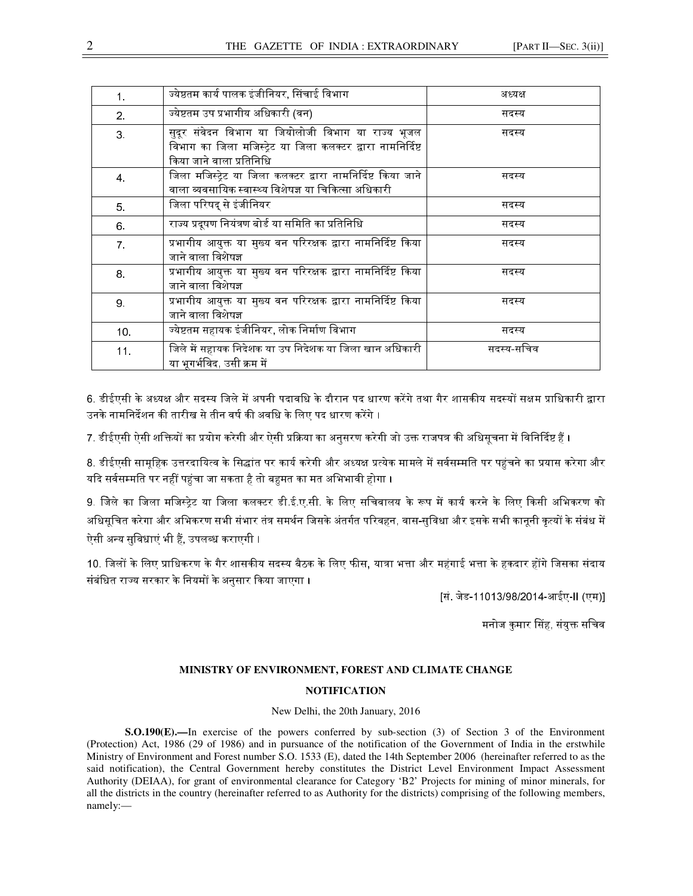| 1.              | ज्येष्ठतम कार्य पालक इंजीनियर, सिंचाई विभाग                                                                                                   | अध्यक्ष    |
|-----------------|-----------------------------------------------------------------------------------------------------------------------------------------------|------------|
| 2 <sub>1</sub>  | ज्येष्टतम उप प्रभागीय अधिकारी (वन)                                                                                                            | सदस्य      |
| 3.              | सुदूर संवेदन विभाग या जियोलोजी विभाग या राज्य भूजल<br>विभाग का जिला मजिस्ट्रेट या जिला कलक्टर द्वारा नामनिर्दिष्ट<br>किया जाने वाला प्रतिनिधि | सदस्य      |
| 4.              | जिला मजिस्ट्रेट या जिला कलक्टर द्वारा नामनिर्दिष्ट किया जाने<br>वाला व्यवसायिक स्वास्थ्य विशेषज्ञ या चिकित्सा अधिकारी                         | सदस्य      |
| 5.              | जिला परिषद् से इंजीनियर                                                                                                                       | सदस्य      |
| 6.              | राज्य प्रदूषण नियंत्रण बोर्ड या समिति का प्रतिनिधि                                                                                            | सदस्य      |
| $\overline{7}$  | प्रभागीय आयुक्त या मुख्य वन परिरक्षक द्वारा नामनिर्दिष्ट किया<br>जाने वाला विशेषज्ञ                                                           | सदस्य      |
| 8.              | प्रभागीय आयुक्त या मुख्य वन परिरक्षक द्वारा नामनिर्दिष्ट किया<br>जाने वाला विशेषज्ञ                                                           | सदस्य      |
| 9.              | प्रभागीय आयुक्त या मुख्य वन परिरक्षक द्वारा नामनिर्दिष्ट किया<br>जाने वाला विशेषज्ञ                                                           | सदस्य      |
| 10 <sub>1</sub> | ज्येष्टतम सहायक इंजीनियर, लोक निर्माण विभाग                                                                                                   | सदस्य      |
| 11.             | जिले में सहायक निदेशक या उप निदेशक या जिला खान अधिकारी<br>या भूगर्भविद, उसी क्रम में                                                          | सदस्य सचिव |

6. डीईएसी के अध्यक्ष और सदस्य जिले में अपनी पदावधि के दौरान पद धारण करेंगे तथा गैर शासकीय सदस्यों सक्षम प्राधिकारी द्वारा उनके नामनिर्देशन की तारीख से तीन वर्ष की अवधि के लिए पद धारण करेंगे ।

7. डीईएसी ऐसी शक्तियों का प्रयोग करेगी और ऐसी प्रक्रिया का अनुसरण करेगी जो उक्त राजपत्र की अधिसूचना में विनिर्दिष्ट हैं ।

8. डीईएसी सामहिक उत्तरदायित्व के सिद्धांत पर कार्य करेगी और अध्यक्ष प्रत्येक मामले में सर्वसम्मति पर पहुंचने का प्रयास करेगा और यदि सर्वसम्मति पर नहीं पहुंचा जा सकता है तो बहुमत का मत अभिभावी होगा ।

9. जिले का जिला मजिस्ट्रेट या जिला कलक्टर डी.ई.ए.सी. के लिए सचिवालय के रूप में कार्य करने के लिए किसी अभिकरण को अधिसूचित करेगा और अभिकरण सभी संभार तंत्र समर्थन जिसके अंतर्गत परिवहन, वास-सुविधा और इसके सभी कानूनी कृत्यों के संबंध में ऐसी अन्य सुविधाएं भी हैं, उपलब्ध कराएगी ।

10. जिलों के लिए प्राधिकरण के गैर शासकीय सदस्य बैठक के लिए फीस, यात्रा भत्ता और महंगाई भत्ता के हकदार होंगे जिसका संदाय संबंधित राज्य सरकार के नियमों के अनुसार किया जाएगा ।

[सं. जेड-11013/98/2014-आईए-II (एम)]

मनोज कमार सिंह, संयक्त सचिव

## **MINISTRY OF ENVIRONMENT, FOREST AND CLIMATE CHANGE**

## **NOTIFICATION**

New Delhi, the 20th January, 2016

**S.O.190(E).—**In exercise of the powers conferred by sub-section (3) of Section 3 of the Environment (Protection) Act, 1986 (29 of 1986) and in pursuance of the notification of the Government of India in the erstwhile Ministry of Environment and Forest number S.O. 1533 (E), dated the 14th September 2006 (hereinafter referred to as the said notification), the Central Government hereby constitutes the District Level Environment Impact Assessment Authority (DEIAA), for grant of environmental clearance for Category 'B2' Projects for mining of minor minerals, for all the districts in the country (hereinafter referred to as Authority for the districts) comprising of the following members, namely:—